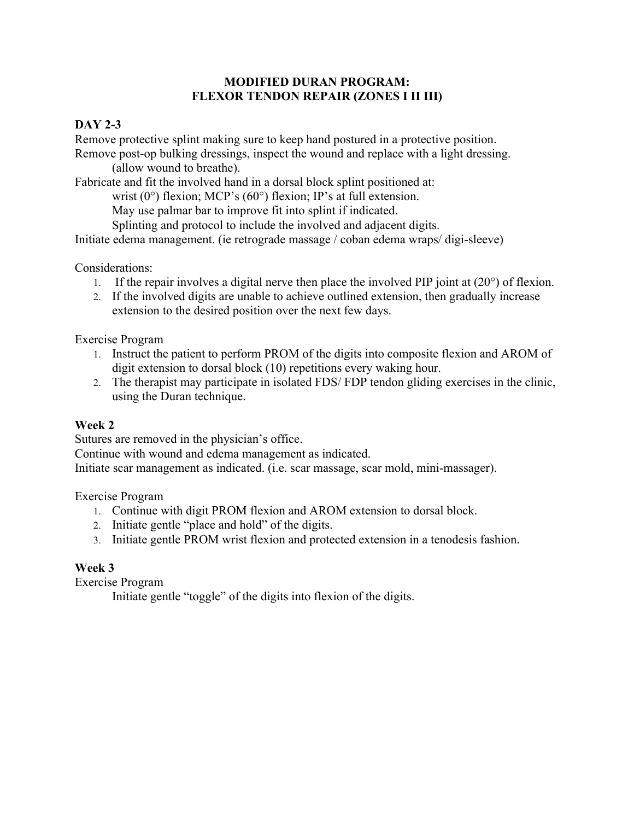#### **MODIFIED DURAN PROGRAM: FLEXOR TENDON REPAIR (ZONES I II III)**

## **DAY 2-3**

Remove protective splint making sure to keep hand postured in a protective position.

Remove post-op bulking dressings, inspect the wound and replace with a light dressing. (allow wound to breathe).

Fabricate and fit the involved hand in a dorsal block splint positioned at:

wrist  $(0^{\circ})$  flexion; MCP's  $(60^{\circ})$  flexion; IP's at full extension.

May use palmar bar to improve fit into splint if indicated.

Splinting and protocol to include the involved and adjacent digits.

Initiate edema management. (ie retrograde massage / coban edema wraps/ digi-sleeve)

Considerations:

- 1. If the repair involves a digital nerve then place the involved PIP joint at  $(20^{\circ})$  of flexion.
- 2. If the involved digits are unable to achieve outlined extension, then gradually increase extension to the desired position over the next few days.

Exercise Program

- 1. Instruct the patient to perform PROM of the digits into composite flexion and AROM of digit extension to dorsal block (10) repetitions every waking hour.
- 2. The therapist may participate in isolated FDS/ FDP tendon gliding exercises in the clinic, using the Duran technique.

# **Week 2**

Sutures are removed in the physician's office.

Continue with wound and edema management as indicated.

Initiate scar management as indicated. (i.e. scar massage, scar mold, mini-massager).

Exercise Program

- 1. Continue with digit PROM flexion and AROM extension to dorsal block.
- 2. Initiate gentle "place and hold" of the digits.
- 3. Initiate gentle PROM wrist flexion and protected extension in a tenodesis fashion.

## **Week 3**

Exercise Program

Initiate gentle "toggle" of the digits into flexion of the digits.